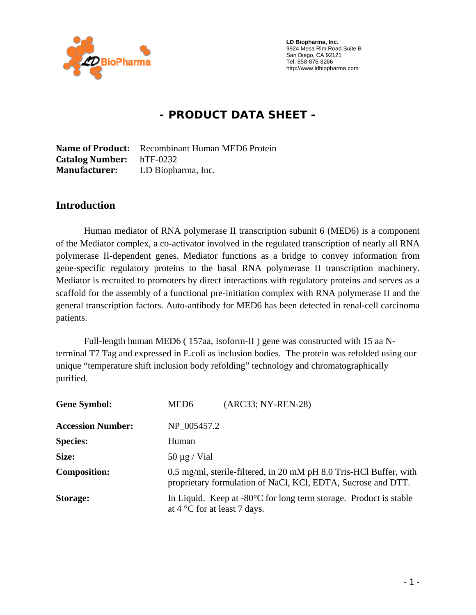

 **LD Biopharma, Inc.**  9924 Mesa Rim Road Suite B San Diego, CA 92121 Tel: 858-876-8266 http://www.ldbiopharma.com

# **- PRODUCT DATA SHEET -**

**Name of Product:** Recombinant Human MED6 Protein **Catalog Number:** hTF-0232 **Manufacturer:** LD Biopharma, Inc.

#### **Introduction**

Human mediator of RNA polymerase II transcription subunit 6 (MED6) is a component of the Mediator complex, a co-activator involved in the regulated transcription of nearly all RNA polymerase II-dependent genes. Mediator functions as a bridge to convey information from gene-specific regulatory proteins to the basal RNA polymerase II transcription machinery. Mediator is recruited to promoters by direct interactions with regulatory proteins and serves as a scaffold for the assembly of a functional pre-initiation complex with RNA polymerase II and the general transcription factors. Auto-antibody for MED6 has been detected in renal-cell carcinoma patients.

Full-length human MED6 ( 157aa, Isoform-II ) gene was constructed with 15 aa Nterminal T7 Tag and expressed in E.coli as inclusion bodies. The protein was refolded using our unique "temperature shift inclusion body refolding" technology and chromatographically purified.

| <b>Gene Symbol:</b>      | (ARC33; NY-REN-28)<br>MED <sub>6</sub>                                                                                             |
|--------------------------|------------------------------------------------------------------------------------------------------------------------------------|
| <b>Accession Number:</b> | NP 005457.2                                                                                                                        |
| <b>Species:</b>          | Human                                                                                                                              |
| Size:                    | $50 \mu g$ / Vial                                                                                                                  |
| <b>Composition:</b>      | 0.5 mg/ml, sterile-filtered, in 20 mM pH 8.0 Tris-HCl Buffer, with<br>proprietary formulation of NaCl, KCl, EDTA, Sucrose and DTT. |
| <b>Storage:</b>          | In Liquid. Keep at $-80^{\circ}$ C for long term storage. Product is stable<br>at $4^{\circ}$ C for at least 7 days.               |